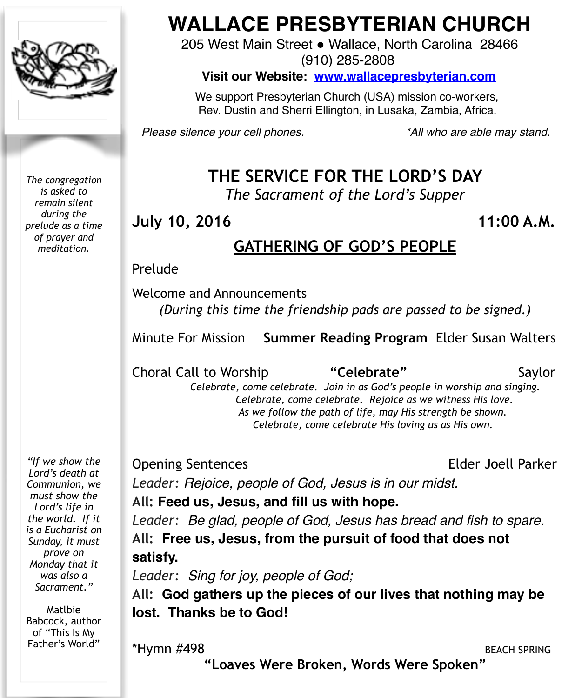

*The congregation is asked to remain silent during the prelude as a time of prayer and meditation.*

*"If we show the Lord's death at Communion, we must show the Lord's life in the world. If it is a Eucharist on Sunday, it must prove on Monday that it was also a Sacrament."* 

Matlbie Babcock, author of "This Is My Father's World"

# **WALLACE PRESBYTERIAN CHURCH**

205 West Main Street . Wallace, North Carolina 28466 (910) 285-2808

**Visit our Website: [www.wallacepresbyterian.com](http://www.wallacepresbyterian.com)**

 We support Presbyterian Church (USA) mission co-workers, Rev. Dustin and Sherri Ellington, in Lusaka, Zambia, Africa.

*Please silence your cell phones. \*All who are able may stand.*

# **THE SERVICE FOR THE LORD'S DAY**

*The Sacrament of the Lord's Supper* 

**July 10, 2016 11:00 A.M.**

# **GATHERING OF GOD'S PEOPLE**

#### Prelude

Welcome and Announcements *(During this time the friendship pads are passed to be signed.)* 

Minute For Mission **Summer Reading Program** Elder Susan Walters

Choral Call to Worship **"Celebrate"** Saylor

*Celebrate, come celebrate. Join in as God's people in worship and singing. Celebrate, come celebrate. Rejoice as we witness His love. As we follow the path of life, may His strength be shown. Celebrate, come celebrate His loving us as His own.* 

Opening Sentences **Elder Joell Parker** 

*Leader: Rejoice, people of God, Jesus is in our midst.*

#### **All: Feed us, Jesus, and fill us with hope.**

*Leader: Be glad, people of God, Jesus has bread and fish to spare.* **All: Free us, Jesus, from the pursuit of food that does not satisfy.**

*Leader: Sing for joy, people of God;*

**All: God gathers up the pieces of our lives that nothing may be lost. Thanks be to God!**

\*Hymn #498 BEACH SPRING

**"Loaves Were Broken, Words Were Spoken"**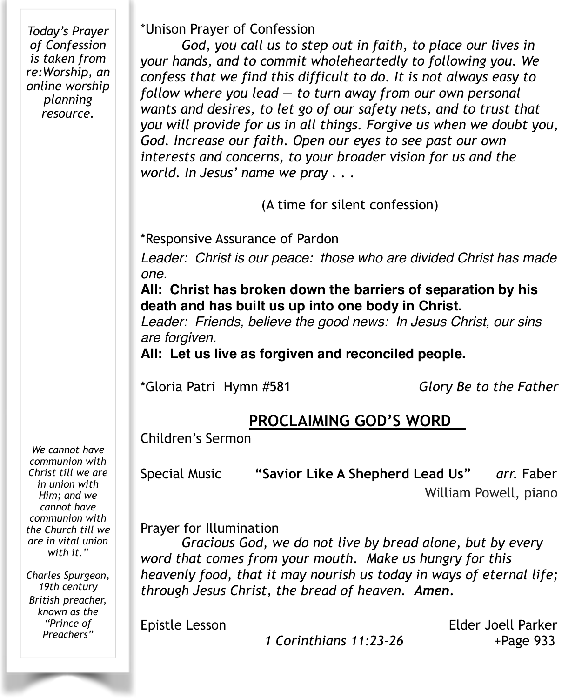*Today's Prayer of Confession is taken from re:Worship, an online worship planning resource.* 

\*Unison Prayer of Confession

*God, you call us to step out in faith, to place our lives in your hands, and to commit wholeheartedly to following you. We confess that we find this difficult to do. It is not always easy to follow where you lead — to turn away from our own personal wants and desires, to let go of our safety nets, and to trust that you will provide for us in all things. Forgive us when we doubt you, God. Increase our faith. Open our eyes to see past our own interests and concerns, to your broader vision for us and the world. In Jesus' name we pray . . .* 

(A time for silent confession)

\*Responsive Assurance of Pardon

*Leader: Christ is our peace: those who are divided Christ has made one.*

**All: Christ has broken down the barriers of separation by his death and has built us up into one body in Christ.**

*Leader: Friends, believe the good news: In Jesus Christ, our sins are forgiven.*

**All: Let us live as forgiven and reconciled people.**

\*Gloria Patri Hymn #581 *Glory Be to the Father*

# **PROCLAIMING GOD'S WORD**

Children's Sermon

Special Music **"Savior Like A Shepherd Lead Us"** *arr.* Faber

William Powell, piano

Prayer for Illumination

*Gracious God, we do not live by bread alone, but by every word that comes from your mouth. Make us hungry for this heavenly food, that it may nourish us today in ways of eternal life; through Jesus Christ, the bread of heaven. Amen.*

*1 Corinthians 11:23-26* +Page 933

Epistle Lesson Elder Joell Parker

*We cannot have communion with Christ till we are in union with Him; and we cannot have communion with the Church till we are in vital union with it."*

*Charles Spurgeon, 19th century British preacher, known as the "Prince of Preachers"*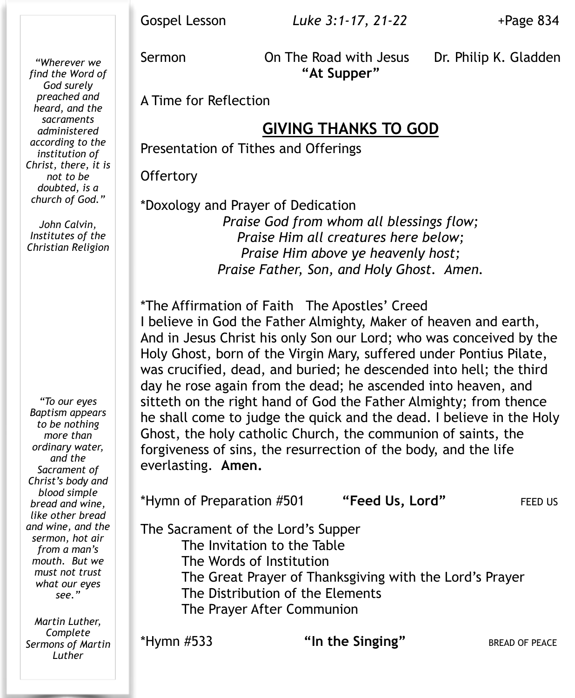*"Wherever we find the Word of God surely preached and heard, and the sacraments administered according to the institution of Christ, there, it is not to be doubted, is a church of God."* 

*John Calvin, Institutes of the Christian Religion* 

*"To our eyes Baptism appears to be nothing more than ordinary water, and the Sacrament of Christ's body and blood simple bread and wine, like other bread and wine, and the sermon, hot air from a man's mouth. But we must not trust what our eyes see."*

*Martin Luther, Complete Sermons of Martin Luther*

**"At Supper"** 

Sermon **On The Road with Jesus** Dr. Philip K. Gladden

A Time for Reflection

### **GIVING THANKS TO GOD**

Presentation of Tithes and Offerings

**Offertory** 

\*Doxology and Prayer of Dedication *Praise God from whom all blessings flow; Praise Him all creatures here below; Praise Him above ye heavenly host; Praise Father, Son, and Holy Ghost. Amen.*

\*The Affirmation of Faith The Apostles' Creed I believe in God the Father Almighty, Maker of heaven and earth, And in Jesus Christ his only Son our Lord; who was conceived by the Holy Ghost, born of the Virgin Mary, suffered under Pontius Pilate, was crucified, dead, and buried; he descended into hell; the third day he rose again from the dead; he ascended into heaven, and sitteth on the right hand of God the Father Almighty; from thence he shall come to judge the quick and the dead. I believe in the Holy Ghost, the holy catholic Church, the communion of saints, the forgiveness of sins, the resurrection of the body, and the life everlasting. **Amen.**

\*Hymn of Preparation #501 **"Feed Us, Lord"** FEED US The Sacrament of the Lord's Supper The Invitation to the Table The Words of Institution The Great Prayer of Thanksgiving with the Lord's Prayer The Distribution of the Elements The Prayer After Communion

\*Hymn #533 **"In the Singing"** BREAD OF PEACE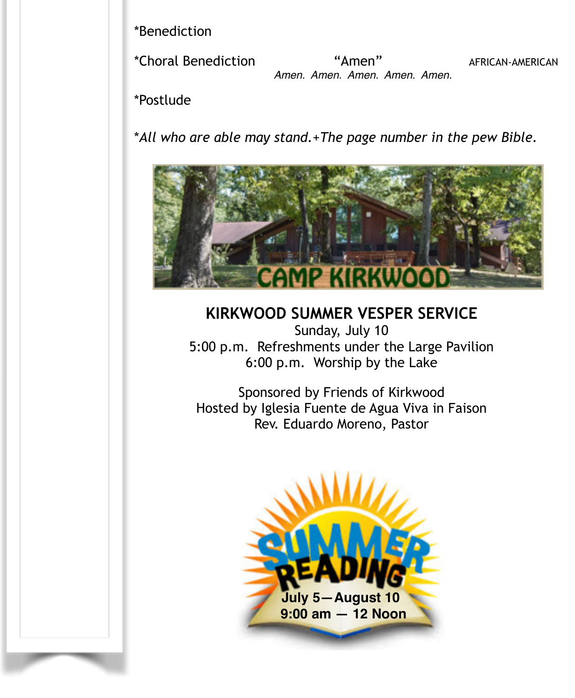\*Benediction !!!!!

\*Choral Benediction "Amen" AFRICAN-AMERICAN  *Amen. Amen. Amen. Amen. Amen.*

\*Postlude

\**All who are able may stand.*+*The page number in the pew Bible.* 



**KIRKWOOD SUMMER VESPER SERVICE**  Sunday, July 10 5:00 p.m. Refreshments under the Large Pavilion 6:00 p.m. Worship by the Lake

Sponsored by Friends of Kirkwood Hosted by Iglesia Fuente de Agua Viva in Faison Rev. Eduardo Moreno, Pastor

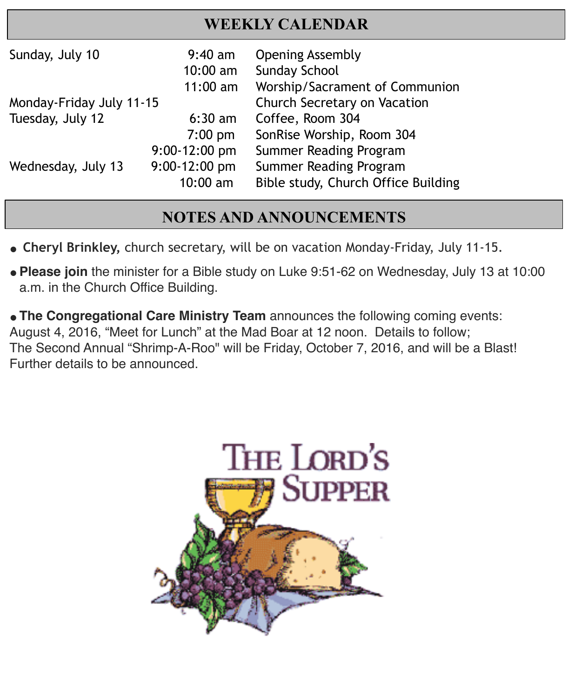## **WEEKLY CALENDAR**

| Sunday, July 10          | $9:40$ am<br>$10:00$ am<br>$11:00$ am | <b>Opening Assembly</b><br><b>Sunday School</b><br>Worship/Sacrament of Communion |
|--------------------------|---------------------------------------|-----------------------------------------------------------------------------------|
| Monday-Friday July 11-15 |                                       | Church Secretary on Vacation                                                      |
| Tuesday, July 12         | $6:30$ am                             | Coffee, Room 304                                                                  |
|                          | $7:00$ pm                             | SonRise Worship, Room 304                                                         |
| Wednesday, July 13       | $9:00-12:00$ pm                       | Summer Reading Program                                                            |
|                          | $9:00-12:00$ pm                       | Summer Reading Program                                                            |
|                          | $10:00$ am                            | Bible study, Church Office Building                                               |

i<br>I

I

# **NOTES AND ANNOUNCEMENTS**

- **" Cheryl Brinkley,** church secretary, will be on vacation Monday-Friday, July 11-15.
- **Please join** the minister for a Bible study on Luke 9:51-62 on Wednesday, July 13 at 10:00 a.m. in the Church Office Building.

**"The Congregational Care Ministry Team** announces the following coming events: August 4, 2016, "Meet for Lunch" at the Mad Boar at 12 noon. Details to follow; The Second Annual "Shrimp-A-Roo" will be Friday, October 7, 2016, and will be a Blast! Further details to be announced.